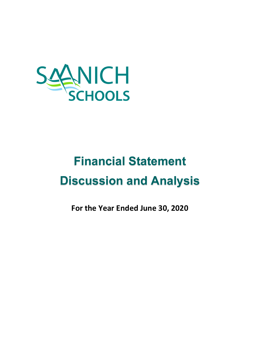

# **Financial Statement Discussion and Analysis**

**For the Year Ended June 30, 2020**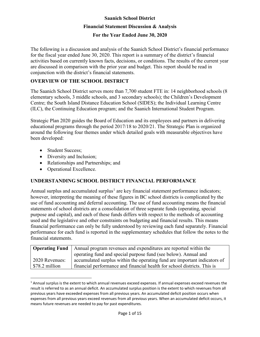### **For the Year Ended June 30, 2020**

The following is a discussion and analysis of the Saanich School District's financial performance for the fiscal year ended June 30, 2020. This report is a summary of the district's financial activities based on currently known facts, decisions, or conditions. The results of the current year are discussed in comparison with the prior year and budget. This report should be read in conjunction with the district's financial statements.

### **OVERVIEW OF THE SCHOOL DISTRICT**

The Saanich School District serves more than 7,700 student FTE in: 14 neighborhood schools [\(8](https://www.sd63.bc.ca/node/1504)  [elementary schools, 3 middle schools, and 3 secondary schools\)](https://www.sd63.bc.ca/node/1504); the Children's Development Centre; the South Island Distance Education School (SIDES); the Individual Learning Centre (ILC), the Continuing Education program; and the Saanich International Student Program.

Strategic Plan 2020 guides the Board of Education and its employees and partners in delivering educational programs through the period 2017/18 to 2020/21. The Strategic Plan is organized around the following four themes under which detailed goals with measurable objectives have been developed:

- Student Success:
- Diversity and Inclusion;
- Relationships and Partnerships; and
- Operational Excellence.

### **UNDERSTANDING SCHOOL DISTRICT FINANCIAL PERFORMANCE**

Annual surplus and accumulated surplus<sup>[1](#page-1-0)</sup> are key financial statement performance indicators; however, interpreting the meaning of these figures in BC school districts is complicated by the use of fund accounting and deferral accounting. The use of fund accounting means the financial statements of school districts are a consolidation of three separate funds (operating, special purpose and capital), and each of these funds differs with respect to the methods of accounting used and the legislative and other constraints on budgeting and financial results. This means financial performance can only be fully understood by reviewing each fund separately. Financial performance for each fund is reported in the supplementary schedules that follow the notes to the financial statements.

|                | <b>Operating Fund</b>   Annual program revenues and expenditures are reported within the |  |  |  |  |
|----------------|------------------------------------------------------------------------------------------|--|--|--|--|
|                | operating fund and special purpose fund (see below). Annual and                          |  |  |  |  |
| 2020 Revenues: | accumulated surplus within the operating fund are important indicators of                |  |  |  |  |
| \$78.2 million | financial performance and financial health for school districts. This is                 |  |  |  |  |

<span id="page-1-0"></span> $1$  Annual surplus is the extent to which annual revenues exceed expenses. If annual expenses exceed revenues the result is referred to as an annual deficit. An accumulated surplus position is the extent to which revenues from all previous years have exceeded expenses from all previous years. An accumulated deficit position occurs when expenses from all previous years exceed revenues from all previous years. When an accumulated deficit occurs, it means future revenues are needed to pay for past expenditures.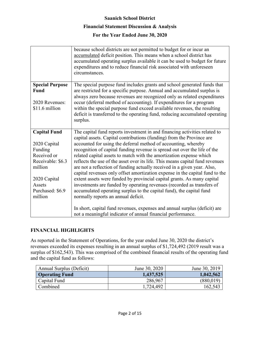#### **Saanich School District**

#### **Financial Statement Discussion & Analysis**

### **For the Year Ended June 30, 2020**

|                        | because school districts are not permitted to budget for or incur an<br>accumulated deficit position. This means when a school district has<br>accumulated operating surplus available it can be used to budget for future<br>expenditures and to reduce financial risk associated with unforeseen<br>circumstances. |
|------------------------|----------------------------------------------------------------------------------------------------------------------------------------------------------------------------------------------------------------------------------------------------------------------------------------------------------------------|
| <b>Special Purpose</b> | The special purpose fund includes grants and school generated funds that                                                                                                                                                                                                                                             |
| Fund                   | are restricted for a specific purpose. Annual and accumulated surplus is<br>always zero because revenues are recognized only as related expenditures                                                                                                                                                                 |
| 2020 Revenues:         | occur (deferral method of accounting). If expenditures for a program                                                                                                                                                                                                                                                 |
| \$11.6 million         | within the special purpose fund exceed available revenues, the resulting                                                                                                                                                                                                                                             |
|                        | deficit is transferred to the operating fund, reducing accumulated operating<br>surplus.                                                                                                                                                                                                                             |
|                        |                                                                                                                                                                                                                                                                                                                      |
| <b>Capital Fund</b>    | The capital fund reports investment in and financing activities related to                                                                                                                                                                                                                                           |
| 2020 Capital           | capital assets. Capital contributions (funding) from the Province are<br>accounted for using the deferral method of accounting, whereby                                                                                                                                                                              |
| Funding                | recognition of capital funding revenue is spread out over the life of the                                                                                                                                                                                                                                            |
| Received or            | related capital assets to match with the amortization expense which                                                                                                                                                                                                                                                  |
| Receivable: \$6.3      | reflects the use of the asset over its life. This means capital fund revenues                                                                                                                                                                                                                                        |
| million                | are not a reflection of funding actually received in a given year. Also,                                                                                                                                                                                                                                             |
|                        | capital revenues only offset amortization expense in the capital fund to the                                                                                                                                                                                                                                         |
| 2020 Capital<br>Assets | extent assets were funded by provincial capital grants. As many capital<br>investments are funded by operating revenues (recorded as transfers of                                                                                                                                                                    |
| Purchased: \$6.9       | accumulated operating surplus to the capital fund), the capital fund                                                                                                                                                                                                                                                 |
| million                | normally reports an annual deficit.                                                                                                                                                                                                                                                                                  |
|                        |                                                                                                                                                                                                                                                                                                                      |
|                        | In short, capital fund revenues, expenses and annual surplus (deficit) are                                                                                                                                                                                                                                           |
|                        | not a meaningful indicator of annual financial performance.                                                                                                                                                                                                                                                          |

### **FINANCIAL HIGHLIGHTS**

As reported in the Statement of Operations, for the year ended June 30, 2020 the district's revenues exceeded its expenses resulting in an annual surplus of \$1,724,492 (2019 result was a surplus of \$162,543). This was comprised of the combined financial results of the operating fund and the capital fund as follows:

| Annual Surplus (Deficit) | June 30, 2020 | June 30, 2019 |
|--------------------------|---------------|---------------|
| <b>Operating Fund</b>    | 1,437,525     | 1,042,562     |
| Capital Fund             | 286,967       | (880,019)     |
| Combined                 | 1,724,492     | 162,543       |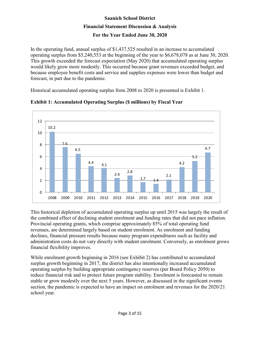In the operating fund, annual surplus of \$1,437,525 resulted in an increase to accumulated operating surplus from \$5,240,553 at the beginning of the year to \$6,678,078 as at June 30, 2020. This growth exceeded the forecast expectation (May 2020) that accumulated operating surplus would likely grow more modestly. This occurred because grant revenues exceeded budget, and because employee benefit costs and service and supplies expenses were lower than budget and forecast, in part due to the pandemic.

Historical accumulated operating surplus from 2008 to 2020 is presented is Exhibit 1.



### **Exhibit 1: Accumulated Operating Surplus (\$ millions) by Fiscal Year**

This historical depletion of accumulated operating surplus up until 2015 was largely the result of the combined effect of declining student enrolment and funding rates that did not pace inflation. Provincial operating grants, which comprise approximately 85% of total operating fund revenues, are determined largely based on student enrolment. As enrolment and funding declines, financial pressure results because many program expenditures such as facility and administration costs do not vary directly with student enrolment. Conversely, as enrolment grows financial flexibility improves.

While enrolment growth beginning in 2016 (see Exhibit 2) has contributed to accumulated surplus growth beginning in 2017, the district has also intentionally increased accumulated operating surplus by building appropriate contingency reserves (per Board Policy 2050) to reduce financial risk and to protect future program stability. Enrolment is forecasted to remain stable or grow modestly over the next 5 years. However, as discussed in the significant events section, the pandemic is expected to have an impact on enrolment and revenues for the 2020/21 school year.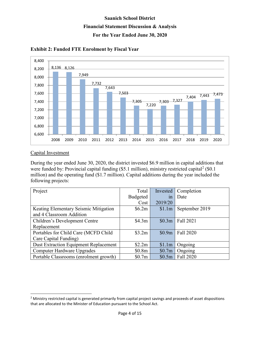

**Exhibit 2: Funded FTE Enrolment by Fiscal Year**

### Capital Investment

During the year ended June 30, 2020, the district invested \$6.9 million in capital additions that were funded by: Provincial capital funding  $(\$5.1$  million), ministry restricted capital<sup>[2](#page-4-0)</sup>  $(\$0.1$ million) and the operating fund (\$1.7 million). Capital additions during the year included the following projects:

| Project                                | Total    | Invested | Completion     |
|----------------------------------------|----------|----------|----------------|
|                                        | Budgeted | 1n       | Date           |
|                                        | Cost     | 2019/20  |                |
| Keating Elementary Seismic Mitigation  | \$6.2m\$ | \$1.1m   | September 2019 |
| and 4 Classroom Addition               |          |          |                |
| Children's Development Centre          | \$4.3m\$ | \$0.3m   | Fall 2021      |
| Replacement                            |          |          |                |
| Portables for Child Care (MCFD Child   | \$3.2m   | \$0.9m   | Fall 2020      |
| Care Capital Funding)                  |          |          |                |
| Dust Extraction Equipment Replacement  | \$2.2m   | \$1.1m   | Ongoing        |
| Computer Hardware Upgrades             | \$0.8m   | \$0.7m   | Ongoing        |
| Portable Classrooms (enrolment growth) | \$0.7m   | \$0.5m   | Fall 2020      |

<span id="page-4-0"></span> $<sup>2</sup>$  Ministry restricted capital is generated primarily from capital project savings and proceeds of asset dispositions</sup> that are allocated to the Minister of Education pursuant to the School Act.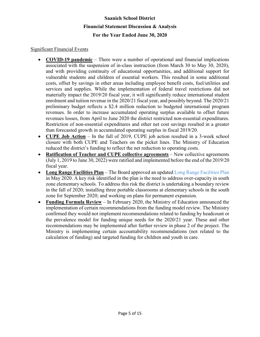### **For the Year Ended June 30, 2020**

#### Significant Financial Events

- **COVID-19 pandemic** There were a number of operational and financial implications associated with the suspension of in-class instruction (from March 30 to May 30, 2020), and with providing continuity of educational opportunities, and additional support for vulnerable students and children of essential workers. This resulted in some additional costs, offset by savings in other areas including employee benefit costs, fuel/utilities and services and supplies. While the implementation of federal travel restrictions did not materially impact the 2019/20 fiscal year, it will significantly reduce international student enrolment and tuition revenue in the 2020/21 fiscal year, and possibly beyond. The 2020/21 preliminary budget reflects a \$2.4 million reduction to budgeted international program revenues. In order to increase accumulated operating surplus available to offset future revenues losses, from April to June 2020 the district restricted non-essential expenditures. Restriction of non-essential expenditures and other net cost savings resulted in a greater than forecasted growth in accumulated operating surplus in fiscal 2019/20.
- **CUPE Job Action** In the fall of 2019, CUPE job action resulted in a 3-week school closure with both CUPE and Teachers on the picket lines. The Ministry of Education reduced the district's funding to reflect the net reduction to operating costs.
- **Ratification of Teacher and CUPE collective agreements** New collective agreements (July 1, 2019 to June 30, 2022) were ratified and implemented before the end of the 2019/20 fiscal year.
- **Long Range Facilities Plan** The Board approved an updated [Long Range Facilities Plan](https://www.sd63.bc.ca/sites/default/files/SD63LRFPFinalApr2020.pdf) in May 2020. A key risk identified in the plan is the need to address over-capacity in south zone elementary schools. To address this risk the district is undertaking a boundary review in the fall of 2020; installing three portable classrooms at elementary schools in the south zone for September 2020; and working on plans for permanent expansion.
- **Funding Formula Review** In February 2020, the Ministry of Education announced the implementation of certain recommendations from the funding model review. The Ministry confirmed they would not implement recommendations related to funding by headcount or the prevalence model for funding unique needs for the 2020/21 year. These and other recommendations may be implemented after further review in phase 2 of the project. The Ministry is implementing certain accountability recommendations (not related to the calculation of funding) and targeted funding for children and youth in care.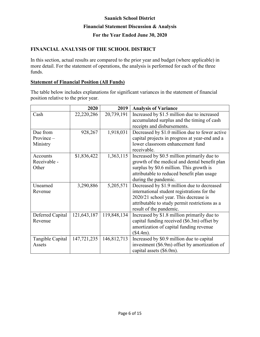### **For the Year Ended June 30, 2020**

### **FINANCIAL ANALYSIS OF THE SCHOOL DISTRICT**

In this section, actual results are compared to the prior year and budget (where applicable) in more detail. For the statement of operations, the analysis is performed for each of the three funds.

### **Statement of Financial Position (All Funds)**

The table below includes explanations for significant variances in the statement of financial position relative to the prior year.

|                  | 2020        | 2019        | <b>Analysis of Variance</b>                    |
|------------------|-------------|-------------|------------------------------------------------|
| Cash             | 22,220,286  | 20,739,191  | Increased by \$1.5 million due to increased    |
|                  |             |             | accumulated surplus and the timing of cash     |
|                  |             |             | receipts and disbursements.                    |
| Due from         | 928,267     | 1,918,031   | Decreased by \$1.0 million due to fewer active |
| $Province -$     |             |             | capital projects in progress at year-end and a |
| Ministry         |             |             | lower classroom enhancement fund               |
|                  |             |             | receivable.                                    |
| Accounts         | \$1,836,422 | 1,363,115   | Increased by \$0.5 million primarily due to    |
| Receivable -     |             |             | growth of the medical and dental benefit plan  |
| Other            |             |             | surplus by \$0.6 million. This growth is       |
|                  |             |             | attributable to reduced benefit plan usage     |
|                  |             |             | during the pandemic.                           |
| Unearned         | 3,290,886   | 5,205,571   | Decreased by \$1.9 million due to decreased    |
| Revenue          |             |             | international student registrations for the    |
|                  |             |             | 2020/21 school year. This decrease is          |
|                  |             |             | attributable to study permit restrictions as a |
|                  |             |             | result of the pandemic.                        |
| Deferred Capital | 121,643,187 | 119,848,134 | Increased by \$1.8 million primarily due to    |
| Revenue          |             |             | capital funding received (\$6.3m) offset by    |
|                  |             |             | amortization of capital funding revenue        |
|                  |             |             | (\$4.4m).                                      |
| Tangible Capital | 147,721,235 | 146,812,713 | Increased by \$0.9 million due to capital      |
| Assets           |             |             | investment (\$6.9m) offset by amortization of  |
|                  |             |             | capital assets (\$6.0m).                       |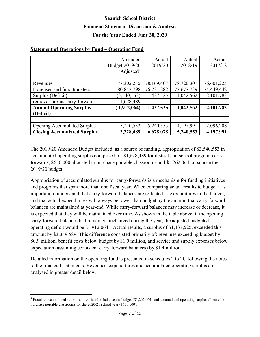### **For the Year Ended June 30, 2020**

|                                    | Amended        | Actual     | Actual     | Actual     |
|------------------------------------|----------------|------------|------------|------------|
|                                    | Budget 2019/20 | 2019/20    | 2018/19    | 2017/18    |
|                                    | (Adjusted)     |            |            |            |
|                                    |                |            |            |            |
| Revenues                           | 77,302,245     | 78,169,407 | 78,720,301 | 76,601,225 |
| Expenses and fund transfers        | 80, 842, 798   | 76,731,882 | 77,677,739 | 74,449,442 |
| Surplus (Deficit)                  | (3,540,553)    | 1,437,525  | 1,042,562  | 2,101,783  |
| remove surplus carry-forwards      | 1,628,489      |            |            |            |
| <b>Annual Operating Surplus</b>    | (1,912,064)    | 1,437,525  | 1,042,562  | 2,101,783  |
| (Deficit)                          |                |            |            |            |
|                                    |                |            |            |            |
| <b>Opening Accumulated Surplus</b> | 5,240,553      | 5,240,553  | 4,197,991  | 2,096,208  |
| <b>Closing Accumulated Surplus</b> | 3,328,489      | 6,678,078  | 5,240,553  | 4,197,991  |

#### **Statement of Operations by Fund – Operating Fund**

The 2019/20 Amended Budget included, as a source of funding, appropriation of \$3,540,553 in accumulated operating surplus comprised of: \$1,628,489 for district and school program carryforwards, \$650,000 allocated to purchase portable classrooms and \$1,262,064 to balance the 2019/20 budget.

Appropriation of accumulated surplus for carry-forwards is a mechanism for funding initiatives and programs that span more than one fiscal year. When comparing actual results to budget it is important to understand that carry-forward balances are reflected as expenditures in the budget, and that actual expenditures will always be lower than budget by the amount that carry-forward balances are maintained at year-end. While carry-forward balances may increase or decrease, it is expected that they will be maintained over time. As shown in the table above, if the opening carry-forward balances had remained unchanged during the year, the adjusted budgeted operating deficit would be \$1,912,064<sup>[3](#page-7-0)</sup>. Actual results, a surplus of \$1,437,525, exceeded this amount by \$3,349,589. This difference consisted primarily of: revenues exceeding budget by \$0.9 million; benefit costs below budget by \$1.0 million, and service and supply expenses below expectation (assuming consistent carry-forward balances) by \$1.4 million.

Detailed information on the operating fund is presented in schedules 2 to 2C following the notes to the financial statements. Revenues, expenditures and accumulated operating surplus are analysed in greater detail below.

<span id="page-7-0"></span><sup>&</sup>lt;sup>3</sup> Equal to accumulated surplus appropriated to balance the budget (\$1,262,064) and accumulated operating surplus allocated to purchase portable classrooms for the 2020/21 school year (\$650,000).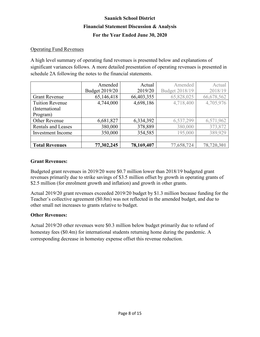### Operating Fund Revenues

A high level summary of operating fund revenues is presented below and explanations of significant variances follows. A more detailed presentation of operating revenues is presented in schedule 2A following the notes to the financial statements.

|                           | Amended        | Actual     | Amended        | Actual     |
|---------------------------|----------------|------------|----------------|------------|
|                           | Budget 2019/20 | 2019/20    | Budget 2018/19 | 2018/19    |
| <b>Grant Revenue</b>      | 65,146,418     | 66,403,355 | 65,828,025     | 66,678,562 |
| <b>Tuition Revenue</b>    | 4,744,000      | 4,698,186  | 4,718,400      | 4,705,976  |
| (International            |                |            |                |            |
| Program)                  |                |            |                |            |
| Other Revenue             | 6,681,827      | 6,334,392  | 6,537,299      | 6,571,962  |
| <b>Rentals and Leases</b> | 380,000        | 378,889    | 380,000        | 373,872    |
| Investment Income         | 350,000        | 354,585    | 195,000        | 389,929    |
|                           |                |            |                |            |
| <b>Total Revenues</b>     | 77,302,245     | 78,169,407 | 77,658,724     | 78,720,301 |

#### **Grant Revenues:**

Budgeted grant revenues in 2019/20 were \$0.7 million lower than 2018/19 budgeted grant revenues primarily due to strike savings of \$3.5 million offset by growth in operating grants of \$2.5 million (for enrolment growth and inflation) and growth in other grants.

Actual 2019/20 grant revenues exceeded 2019/20 budget by \$1.3 million because funding for the Teacher's collective agreement (\$0.8m) was not reflected in the amended budget, and due to other small net increases to grants relative to budget.

### **Other Revenues:**

Actual 2019/20 other revenues were \$0.3 million below budget primarily due to refund of homestay fees (\$0.4m) for international students returning home during the pandemic. A corresponding decrease in homestay expense offset this revenue reduction.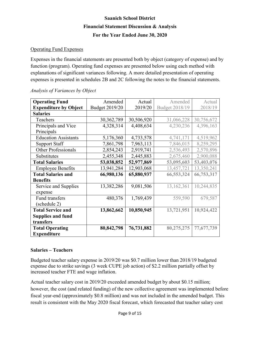### Operating Fund Expenses

Expenses in the financial statements are presented both by object (category of expense) and by function (program). Operating fund expenses are presented below using each method with explanations of significant variances following. A more detailed presentation of operating expenses is presented in schedules 2B and 2C following the notes to the financial statements.

| <b>Operating Fund</b>        | Amended        | Actual     | Amended               | Actual     |
|------------------------------|----------------|------------|-----------------------|------------|
| <b>Expenditure by Object</b> | Budget 2019/20 | 2019/20    | <b>Budget 2018/19</b> | 2018/19    |
| <b>Salaries</b>              |                |            |                       |            |
| Teachers                     | 30, 362, 789   | 30,506,920 | 31,066,228            | 30,756,672 |
| Principals and Vice          | 4,328,314      | 4,408,634  | 4,230,236             | 4,396,163  |
| Principals                   |                |            |                       |            |
| <b>Education Assistants</b>  | 5,176,360      | 4,733,578  | 4,741,171             | 4,519,962  |
| <b>Support Staff</b>         | 7,861,798      | 7,963,113  | 7,846,015             | 8,259,295  |
| <b>Other Professionals</b>   | 2,854,243      | 2,919,741  | 2,536,493             | 2,570,896  |
| Substitutes                  | 2,455,348      | 2,445,883  | 2,675,460             | 2,900,088  |
| <b>Total Salaries</b>        | 53,038,852     | 52,977,869 | 53,095,603            | 53,403,076 |
| <b>Employee Benefits</b>     | 13,941,284     | 12,903,068 | 13,457,721            | 13,350,241 |
| <b>Total Salaries and</b>    | 66,980,136     | 65,880,937 | 66,553,324            | 66,753,317 |
| <b>Benefits</b>              |                |            |                       |            |
| Service and Supplies         | 13,382,286     | 9,081,506  | 13,162,361            | 10,244,835 |
| expense                      |                |            |                       |            |
| Fund transfers               | 480,376        | 1,769,439  | 559,590               | 679,587    |
| (schedule 2)                 |                |            |                       |            |
| <b>Total Service and</b>     | 13,862,662     | 10,850,945 | 13,721,951            | 10,924,422 |
| <b>Supplies and fund</b>     |                |            |                       |            |
| transfers                    |                |            |                       |            |
| <b>Total Operating</b>       | 80,842,798     | 76,731,882 | 80,275,275            | 77,677,739 |
| <b>Expenditure</b>           |                |            |                       |            |

#### *Analysis of Variances by Object*

### **Salaries – Teachers**

Budgeted teacher salary expense in 2019/20 was \$0.7 million lower than 2018/19 budgeted expense due to strike savings (3 week CUPE job action) of \$2.2 million partially offset by increased teacher FTE and wage inflation.

Actual teacher salary cost in 2019/20 exceeded amended budget by about \$0.15 million; however, the cost (and related funding) of the new collective agreement was implemented before fiscal year-end (approximately \$0.8 million) and was not included in the amended budget. This result is consistent with the May 2020 fiscal forecast, which forecasted that teacher salary cost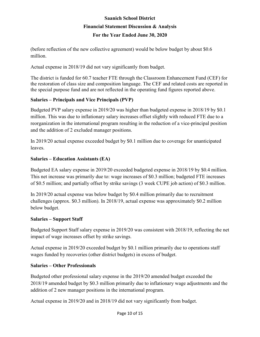(before reflection of the new collective agreement) would be below budget by about \$0.6 million.

Actual expense in 2018/19 did not vary significantly from budget.

The district is funded for 60.7 teacher FTE through the Classroom Enhancement Fund (CEF) for the restoration of class size and composition language. The CEF and related costs are reported in the special purpose fund and are not reflected in the operating fund figures reported above.

### **Salaries – Principals and Vice Principals (PVP)**

Budgeted PVP salary expense in 2019/20 was higher than budgeted expense in 2018/19 by \$0.1 million. This was due to inflationary salary increases offset slightly with reduced FTE due to a reorganization in the international program resulting in the reduction of a vice-principal position and the addition of 2 excluded manager positions.

In 2019/20 actual expense exceeded budget by \$0.1 million due to coverage for unanticipated leaves.

### **Salaries – Education Assistants (EA)**

Budgeted EA salary expense in 2019/20 exceeded budgeted expense in 2018/19 by \$0.4 million. This net increase was primarily due to: wage increases of \$0.3 million; budgeted FTE increases of \$0.5 million; and partially offset by strike savings (3 week CUPE job action) of \$0.3 million.

In 2019/20 actual expense was below budget by \$0.4 million primarily due to recruitment challenges (approx. \$0.3 million). In 2018/19, actual expense was approximately \$0.2 million below budget.

### **Salaries – Support Staff**

Budgeted Support Staff salary expense in 2019/20 was consistent with 2018/19, reflecting the net impact of wage increases offset by strike savings.

Actual expense in 2019/20 exceeded budget by \$0.1 million primarily due to operations staff wages funded by recoveries (other district budgets) in excess of budget.

### **Salaries – Other Professionals**

Budgeted other professional salary expense in the 2019/20 amended budget exceeded the 2018/19 amended budget by \$0.3 million primarily due to inflationary wage adjustments and the addition of 2 new manager positions in the international program.

Actual expense in 2019/20 and in 2018/19 did not vary significantly from budget.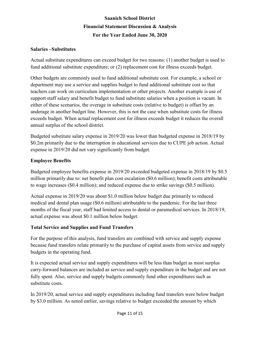#### **Salaries –Substitutes**

Actual substitute expenditures can exceed budget for two reasons: (1) another budget is used to fund additional substitute expenditure; or (2) replacement cost for illness exceeds budget.

Other budgets are commonly used to fund additional substitute cost. For example, a school or department may use a service and supplies budget to fund additional substitute cost so that teachers can work on curriculum implementation or other projects. Another example is use of support staff salary and benefit budget to fund substitute salaries when a position is vacant. In either of these scenarios, the overage in substitute costs (relative to budget) is offset by an underage in another budget line. However, this is not the case when substitute costs for illness exceeds budget. When actual replacement cost for illness exceeds budget it reduces the overall annual surplus of the school district.

Budgeted substitute salary expense in 2019/20 was lower than budgeted expense in 2018/19 by \$0.2m primarily due to the interruption in educational services due to CUPE job action. Actual expense in 2019/20 did not vary significantly from budget.

### **Employee Benefits**

Budgeted employee benefits expense in 2019/20 exceeded budgeted expense in 2018/19 by \$0.5 million primarily due to: net benefit plan cost escalation (\$0.6 million); benefit costs attributable to wage increases (\$0.4 million); and reduced expense due to strike savings (\$0.5 million).

Actual expense in 2019/20 was about \$1.0 million below budget due primarily to reduced medical and dental plan usage (\$0.6 million) attributable to the pandemic. For the last three months of the fiscal year, staff had limited access to dental or paramedical services. In 2018/19, actual expense was about \$0.1 million below budget.

### **Total Service and Supplies and Fund Transfers**

For the purpose of this analysis, fund transfers are combined with service and supply expense because fund transfers relate primarily to the purchase of capital assets from service and supply budgets in the operating fund.

It is expected actual service and supply expenditures will be less than budget as most surplus carry-forward balances are included as service and supply expenditure in the budget and are not fully spent. Also, service and supply budgets commonly fund other expenditures such as substitute costs.

In 2019/20, actual service and supply expenditures including fund transfers were below budget by \$3.0 million. As noted earlier, savings relative to budget exceeded the amount by which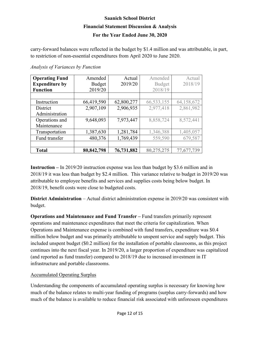### **For the Year Ended June 30, 2020**

carry-forward balances were reflected in the budget by \$1.4 million and was attributable, in part, to restriction of non-essential expenditures from April 2020 to June 2020.

|  | Analysis of Variances by Function |  |
|--|-----------------------------------|--|
|  |                                   |  |

| <b>Operating Fund</b> | Amended       | Actual     | Amended       | Actual     |
|-----------------------|---------------|------------|---------------|------------|
| <b>Expenditure by</b> | <b>Budget</b> | 2019/20    | <b>Budget</b> | 2018/19    |
| <b>Function</b>       | 2019/20       |            | 2018/19       |            |
|                       |               |            |               |            |
| Instruction           | 66,419,590    | 62,800,277 | 66,533,155    | 64,158,672 |
| District              | 2,907,109     | 2,906,935  | 2,977,418     | 2,861,982  |
| Administration        |               |            |               |            |
| Operations and        | 9,648,093     | 7,973,447  | 8,858,724     | 8,572,441  |
| Maintenance           |               |            |               |            |
| Transportation        | 1,387,630     | 1,281,784  | 1,346,388     | 1,405,057  |
| Fund transfer         | 480,376       | 1,769,439  | 559,590       | 679,587    |
|                       |               |            |               |            |
| <b>Total</b>          | 80,842,798    | 76,731,882 | 80,275,275    | 77,677,739 |

**Instruction –** In 2019/20 instruction expense was less than budget by \$3.6 million and in 2018/19 it was less than budget by \$2.4 million. This variance relative to budget in 2019/20 was attributable to employee benefits and services and supplies costs being below budget. In 2018/19, benefit costs were close to budgeted costs.

**District Administration** – Actual district administration expense in 2019/20 was consistent with budget.

**Operations and Maintenance and Fund Transfer –** Fund transfers primarily represent operations and maintenance expenditures that meet the criteria for capitalization. When Operations and Maintenance expense is combined with fund transfers, expenditure was \$0.4 million below budget and was primarily attributable to unspent service and supply budget. This included unspent budget (\$0.2 million) for the installation of portable classrooms, as this project continues into the next fiscal year. In 2019/20, a larger proportion of expenditure was capitalized (and reported as fund transfer) compared to 2018/19 due to increased investment in IT infrastructure and portable classrooms.

### Accumulated Operating Surplus

Understanding the components of accumulated operating surplus is necessary for knowing how much of the balance relates to multi-year funding of programs (surplus carry-forwards) and how much of the balance is available to reduce financial risk associated with unforeseen expenditures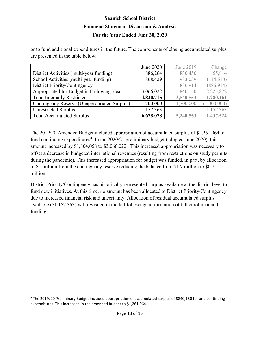or to fund additional expenditures in the future. The components of closing accumulated surplus are presented in the table below:

|                                              | June 2020 | June 2019 | Change      |
|----------------------------------------------|-----------|-----------|-------------|
| District Activities (multi-year funding)     | 886,264   | 830,450   | 55,814      |
| School Activities (multi-year funding)       | 868,429   | 983,039   | (114, 610)  |
| District Priority/Contingency                |           | 886,914   | (886, 914)  |
| Appropriated for Budget in Following Year    | 3,066,022 | 840,150   | 2,225,872   |
| <b>Total Internally Restricted</b>           | 4,820,715 | 3,540,553 | 1,280,161   |
| Contingency Reserve (Unappropriated Surplus) | 700,000   | 1,700,000 | (1,000,000) |
| <b>Unrestricted Surplus</b>                  | 1,157,363 | -         | 1,157,363   |
| <b>Total Accumulated Surplus</b>             | 6,678,078 | 5,240,553 | 1,437,524   |

The 2019/20 Amended Budget included appropriation of accumulated surplus of \$1,261,964 to fund continuing expenditures<sup>[4](#page-13-0)</sup>. In the 2020/21 preliminary budget (adopted June 2020), this amount increased by \$1,804,058 to \$3,066,022. This increased appropriation was necessary to offset a decrease in budgeted international revenues (resulting from restrictions on study permits during the pandemic). This increased appropriation for budget was funded, in part, by allocation of \$1 million from the contingency reserve reducing the balance from \$1.7 million to \$0.7 million.

District Priority/Contingency has historically represented surplus available at the district level to fund new initiatives. At this time, no amount has been allocated to District Priority/Contingency due to increased financial risk and uncertainty. Allocation of residual accumulated surplus available (\$1,157,363) will revisited in the fall following confirmation of fall enrolment and funding.

<span id="page-13-0"></span> <sup>4</sup> The 2019/20 Preliminary Budget included appropriation of accumulated surplus of \$840,150 to fund continuing expenditures. This increased in the amended budget to \$1,261,964.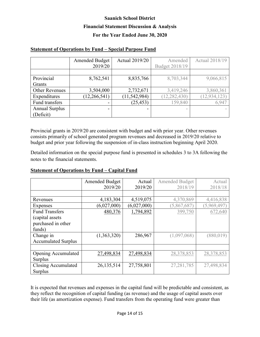### **Statement of Operations by Fund – Special Purpose Fund**

|                       | <b>Amended Budget</b><br>2019/20 | <b>Actual 2019/20</b> | Amended<br>Budget 2018/19 | <b>Actual 2018/19</b> |
|-----------------------|----------------------------------|-----------------------|---------------------------|-----------------------|
|                       |                                  |                       |                           |                       |
| Provincial            | 8,762,541                        | 8,835,766             | 8,703,344                 | 9,066,815             |
| Grants                |                                  |                       |                           |                       |
| <b>Other Revenues</b> | 3,504,000                        | 2,732,671             | 3,419,246                 | 3,860,361             |
| Expenditures          | (12, 266, 541)                   | (11, 542, 984)        | (12, 282, 430)            | (12, 934, 123)        |
| Fund transfers        | ۰                                | (25, 453)             | 159,840                   | 6,947                 |
| <b>Annual Surplus</b> | -                                | -                     |                           |                       |
| (Deficit)             |                                  |                       |                           |                       |

Provincial grants in 2019/20 are consistent with budget and with prior year. Other revenues consists primarily of school generated program revenues and decreased in 2019/20 relative to budget and prior year following the suspension of in-class instruction beginning April 2020.

Detailed information on the special purpose fund is presented in schedules 3 to 3A following the notes to the financial statements.

### **Statement of Operations by Fund – Capital Fund**

|                            | <b>Amended Budget</b> | Actual      | <b>Amended Budget</b> | Actual      |
|----------------------------|-----------------------|-------------|-----------------------|-------------|
|                            | 2019/20               | 2019/20     | 2018/19               | 2018/18     |
|                            |                       |             |                       |             |
| Revenues                   | 4,183,304             | 4,519,075   | 4,370,869             | 4,416,838   |
| Expenses                   | (6,027,000)           | (6,027,000) | (5,867,687)           | (5,969,497) |
| <b>Fund Transfers</b>      | 480,376               | 1,794,892   | 399,750               | 672,640     |
| (capital assets)           |                       |             |                       |             |
| purchased in other         |                       |             |                       |             |
| funds)                     |                       |             |                       |             |
| Change in                  | (1,363,320)           | 286,967     | (1,097,068)           | (880, 019)  |
| <b>Accumulated Surplus</b> |                       |             |                       |             |
|                            |                       |             |                       |             |
| Opening Accumulated        | 27,498,834            | 27,498,834  | 28,378,853            | 28,378,853  |
| Surplus                    |                       |             |                       |             |
| Closing Accumulated        | 26,135,514            | 27,758,801  | 27, 281, 785          | 27,498,834  |
| <b>Surplus</b>             |                       |             |                       |             |

It is expected that revenues and expenses in the capital fund will be predictable and consistent, as they reflect the recognition of capital funding (as revenue) and the usage of capital assets over their life (as amortization expense). Fund transfers from the operating fund were greater than